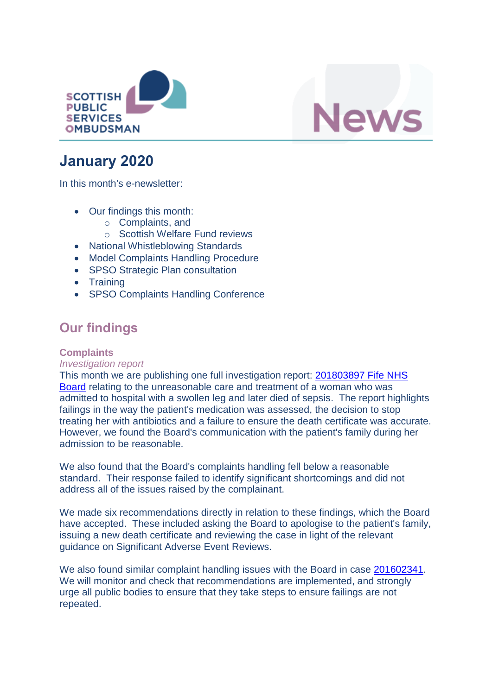



# **January 2020**

In this month's e-newsletter:

- Our findings this month:
	- o Complaints, and
	- o Scottish Welfare Fund reviews
- National Whistleblowing Standards
- Model Complaints Handling Procedure
- SPSO Strategic Plan consultation
- Training
- SPSO Complaints Handling Conference

### **Our findings**

### **Complaints**

### *Investigation report*

This month we are publishing one full investigation report: [201803897 Fife NHS](https://www.spso.org.uk/investigation-reports/2020/january/fife-nhs-board)  [Board](https://www.spso.org.uk/investigation-reports/2020/january/fife-nhs-board) relating to the unreasonable care and treatment of a woman who was admitted to hospital with a swollen leg and later died of sepsis. The report highlights failings in the way the patient's medication was assessed, the decision to stop treating her with antibiotics and a failure to ensure the death certificate was accurate. However, we found the Board's communication with the patient's family during her admission to be reasonable.

We also found that the Board's complaints handling fell below a reasonable standard. Their response failed to identify significant shortcomings and did not address all of the issues raised by the complainant.

We made six recommendations directly in relation to these findings, which the Board have accepted. These included asking the Board to apologise to the patient's family, issuing a new death certificate and reviewing the case in light of the relevant guidance on Significant Adverse Event Reviews.

We also found similar complaint handling issues with the Board in case [201602341.](https://www.spso.org.uk/investigation-reports/2018/february/fife-nhs-board) We will monitor and check that recommendations are implemented, and strongly urge all public bodies to ensure that they take steps to ensure failings are not repeated.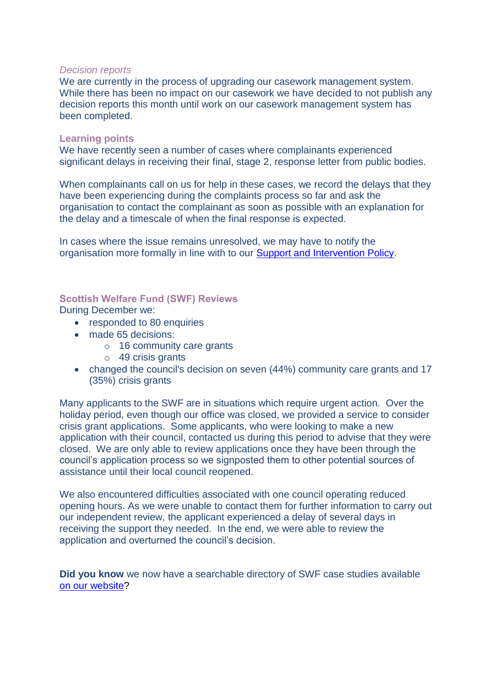#### *Decision reports*

We are currently in the process of upgrading our casework management system. While there has been no impact on our casework we have decided to not publish any decision reports this month until work on our casework management system has been completed.

#### **Learning points**

We have recently seen a number of cases where complainants experienced significant delays in receiving their final, stage 2, response letter from public bodies.

When complainants call on us for help in these cases, we record the delays that they have been experiencing during the complaints process so far and ask the organisation to contact the complainant as soon as possible with an explanation for the delay and a timescale of when the final response is expected.

In cases where the issue remains unresolved, we may have to notify the organisation more formally in line with to our [Support and Intervention Policy.](https://www.valuingcomplaints.org.uk/sites/valuingcomplaints/files/resources/190314SupportAndInterventionPolicyFINAL.pdf)

#### **Scottish Welfare Fund (SWF) Reviews**

During December we:

- responded to 80 enquiries
- made 65 decisions:
	- o 16 community care grants
	- o 49 crisis grants
- changed the council's decision on seven (44%) community care grants and 17 (35%) crisis grants

Many applicants to the SWF are in situations which require urgent action. Over the holiday period, even though our office was closed, we provided a service to consider crisis grant applications. Some applicants, who were looking to make a new application with their council, contacted us during this period to advise that they were closed. We are only able to review applications once they have been through the council's application process so we signposted them to other potential sources of assistance until their local council reopened.

We also encountered difficulties associated with one council operating reduced opening hours. As we were unable to contact them for further information to carry out our independent review, the applicant experienced a delay of several days in receiving the support they needed. In the end, we were able to review the application and overturned the council's decision.

**Did you know** we now have a searchable directory of SWF case studies available [on our website?](https://www.spso.org.uk/scottishwelfarefund/case-summaries)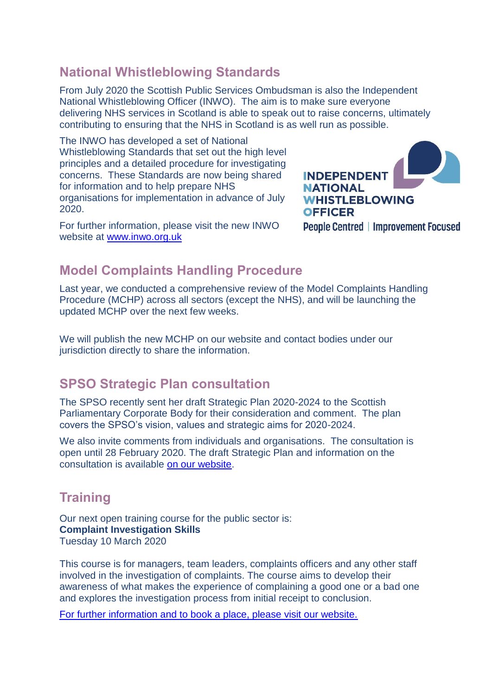### **National Whistleblowing Standards**

From July 2020 the Scottish Public Services Ombudsman is also the Independent National Whistleblowing Officer (INWO). The aim is to make sure everyone delivering NHS services in Scotland is able to speak out to raise concerns, ultimately contributing to ensuring that the NHS in Scotland is as well run as possible.

The INWO has developed a set of National Whistleblowing Standards that set out the high level principles and a detailed procedure for investigating concerns. These Standards are now being shared for information and to help prepare NHS organisations for implementation in advance of July 2020.

For further information, please visit the new INWO website at [www.inwo.org.uk](http://www.inwo.org.uk/)



# **Model Complaints Handling Procedure**

Last year, we conducted a comprehensive review of the Model Complaints Handling Procedure (MCHP) across all sectors (except the NHS), and will be launching the updated MCHP over the next few weeks.

We will publish the new MCHP on our website and contact bodies under our jurisdiction directly to share the information.

### **SPSO Strategic Plan consultation**

The SPSO recently sent her draft Strategic Plan 2020-2024 to the Scottish Parliamentary Corporate Body for their consideration and comment. The plan covers the SPSO's vision, values and strategic aims for 2020-2024.

We also invite comments from individuals and organisations. The consultation is open until 28 February 2020. The draft Strategic Plan and information on the consultation is available [on our website.](https://www.spso.org.uk/news-and-media/spso-strategic-plan-2020-2024-consultation-open)

### **Training**

Our next open training course for the public sector is: **Complaint Investigation Skills** Tuesday 10 March 2020

This course is for managers, team leaders, complaints officers and any other staff involved in the investigation of complaints. The course aims to develop their awareness of what makes the experience of complaining a good one or a bad one and explores the investigation process from initial receipt to conclusion.

[For further information and to book a place, please visit our website.](http://www.valuingcomplaints.org.uk/training/training-courses)